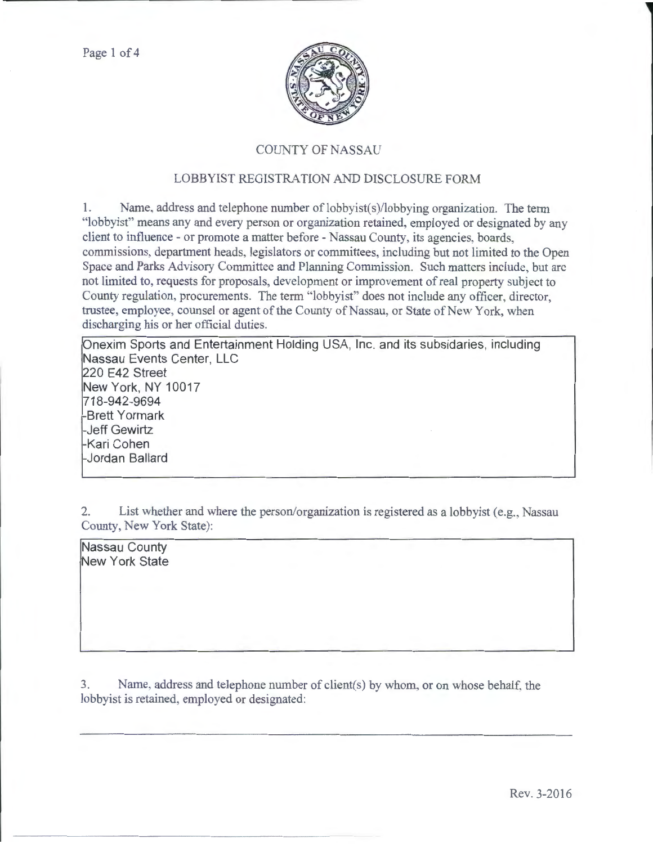

## COUNTY OF NASSAU

## LOBBYIST REGISTRATION AND DISCLOSURE FORM

1. Name. address and telephone number of lobbyist(s)/lobbying organization. The term "lobbyist" means any and every person or organization retained, employed or designated by any client to influence - or promote a matter before - Nassau County, its agencies, boards, commissions, department heads, legislators or committees, including but not limited to the Open Space and Parks Advisory Committee and Planning Commission. Such matters include, but arc not limited to, requests for proposals, development or improvement of real property subject to County regulation, procurements. The term "lobbyist" does not include any officer, director, trustee, employee, counsel or agent of the County of Nassau, or State of New York, when discharging his or her official duties.

Onexim Sports and Entertainment Holding USA, Inc. and its subsidaries, including Nassau Events Center, LLC 220 E42 Street New York, NY 10017 718-942-9694 -Brett Yormark -Jeff Gewirtz -Kari Cohen -Jordan Ballard

2. List whether and where the person/organization is registered as a lobbyist (e.g., Nassau County, New York State):

Nassau County New York State

3. Name, address and telephone munber of client(s) by whom, or on whose behalf, the lobbyist is retained, employed or designated: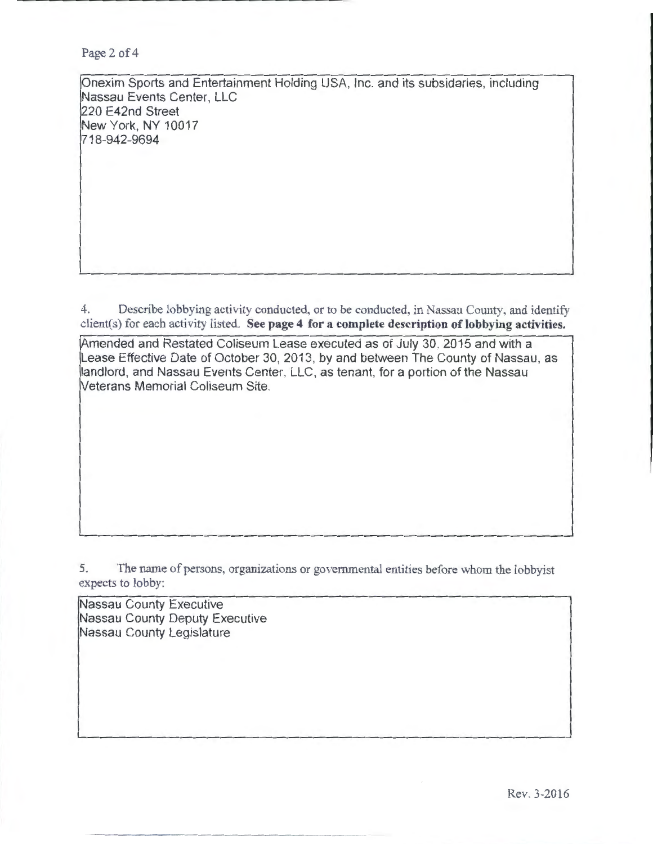Page 2 of 4

.......... \_\_\_\_\_\_\_\_\_\_ \_\_

Onexim Sports and Entertainment Holding USA, Inc. and its subsidaries, including Nassau Events Center, LLC 220 E42nd Street New York, NY 10017 718-942-9694

4. Describe lobbying activity conducted, or to be conducted, in Nassau County, and identify client(s) for each activity listed. See page 4 for a complete description of lobbying activities.

Amended and Restated Coliseum Lease executed as of July 30, 2015 and with a Lease Effective Date of October 30, 2013, by and between The County of Nassau, as landlord, and Nassau Events Center, LLC, as tenant, for a portion of the Nassau Veterans Memorial Coliseum Site.

5. The name of persons, organizations or governmental entities before whom the lobbyist expects to lobby:

Nassau County Executive Nassau County Deputy Executive Nassau County Legislature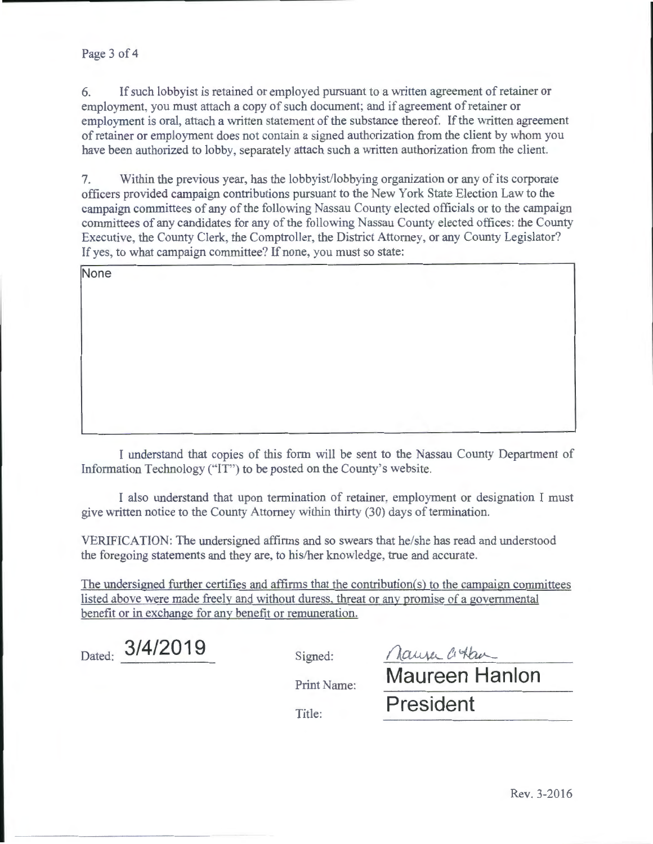## Page 3 of 4

6. If such lobbyist is retained or employed pursuant to a written agreement of retainer or employment. you must attach a copy of such document; and if agreement of retainer or employment is oral, attach a written statement of the substance thereof. If the written agreement of retainer or employment does not contain a signed authorization from the client by whom you have been authorized to lobby, separately attach such a written authorization from the client.

7. Within the previous year, has the lobbyist/lobbying organization or any of its corporate officers provided campaign contributions pursuant to the New York State Election Law to the campaign committees of any of the following Nassau County elected officials or to the campaign committees of any candidates for any of the following Nassau County elected offices: the County Executive, the County Clerk, the Comptroller, the District Attorney, or any County Legislator? If yes, to what campaign committee? If none, you must so state:

**None** 

I understand that copies of this form will be sent to the Nassau County Department of Information Technology ("IT") to be posted on the County's website.

I also understand that upon termination of retainer, employment or designation I must give written notice to the County Attorney within thirty (30) days of termination.

VERIFICATION: The undersigned affirms and so swears that he/she has read and understood the foregoing statements and they are, to his/her knowledge, true and accurate.

The undersigned further certifies and affirms that the contribution(s) to the campaign committees listed above were made freely and without duress. threat or any promise of a governmental benefit or in exchange for any benefit or remuneration.

Dated: **3/4/2019** Signed:

Maure Cottan

Print Name: **Maureen Hanlon** 

Title: **President**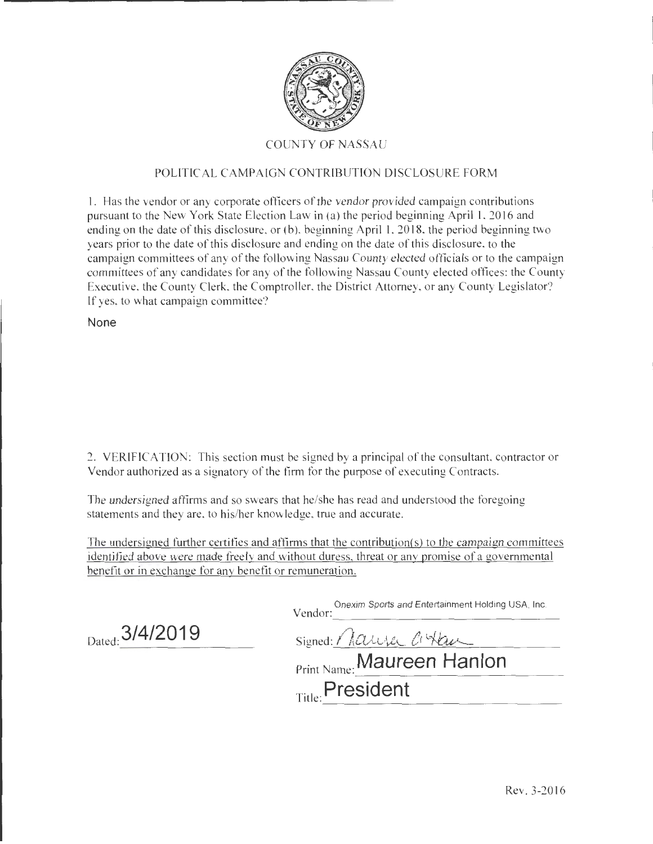

## COUNTY OF NASSAU

## POLITICAL CAMPAIGN CONTRIBUTION DISCLOSURE FORM

**l.** Has the vendor or any corporate officers of the vendor provided campaign contributions pursuant to the New York State Election Law in (a) the period beginning April 1, 2016 and ending on the date of this disclosure, or (b), beginning April I, 2018, the period beginning two years prior to the date of this disclosure and ending on the date of this disclosure, to the campaign committees of any of the following Nassau County elected officials or to the campaign committees of any candidates for any of the following Nassau County elected offices: the County Executive, the County Clerk, the Comptroller, the District Attorney, or any County Legislator? lf yes, to what campaign committee?

**None** 

2. VERIFICATION: This section must be signed by a principal of the consultant, contractor or Vendor authorized as a signatory of the firm for the purpose of executing Contracts.

The undersigned affirms and so swears that he/she has read and understood the foregoing statements and they are, to his/her knowledge, true and accurate.

The undersigned further certifies and affirms that the contribution(s) to the campaign committees identified above were made freely and without duress, threat or any promise of a governmental benefit or in exchange for any benefit or remuneration.

Vendor: Onexim Sports and Entertainment Holding USA, Inc. ----------------------------------

Dated: **3/4/2019** Signed: *Name Ct Hau* 

Print Name: **Maureen Hanlon** 

Title: **President**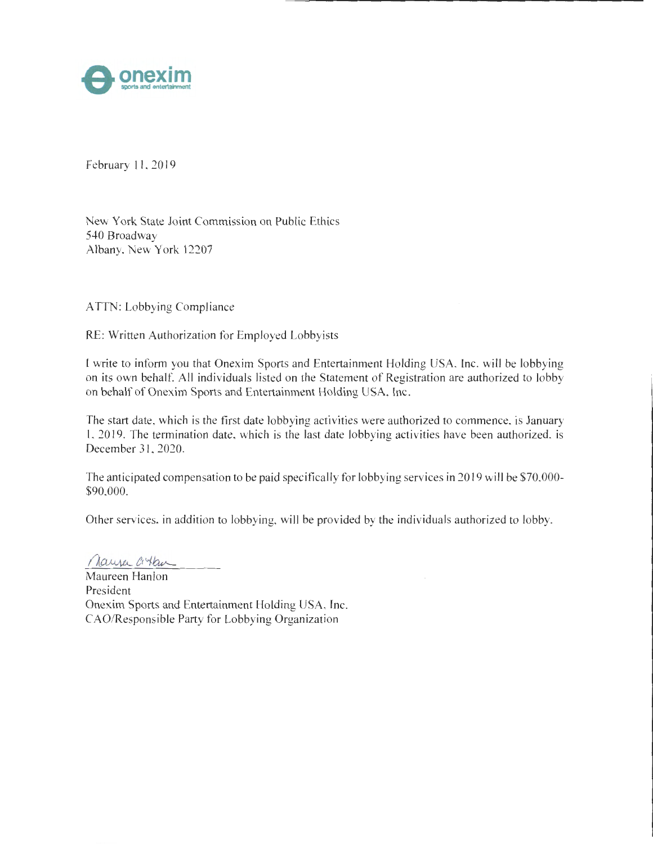

February II, 2019

New York State Joint Commission on Public Ethics 540 Broadway Albany, New York 12207

ATTN: Lobbying Compliance

RE: Written Authorization for Employed Lobbyists

l write to inform you that Onexim Sports and Entertainment Holding USA, Inc. will be lobbying on its own behalf. All individuals listed on the Statement of Registration are authorized to lobby on behalf of Onexim Sports and Entertainment Holding USA, Inc.

The start date, which is the first date lobbying activities were authorized to commence, is January l, 2019. The termination date, which is the last date lobbying activities have been authorized, is December 31, 2020.

The anticipated compensation to be paid specifically for lobbying services in 2019 will be \$70,000- \$90,000.

Other services, in addition to lobbying, will be provided by the individuals authorized to lobby.

Maryer Citan

Maureen Hanlon President Onexim Sports and Entertainment Holding USA, lnc. CAO/Responsible Party for Lobbying Organization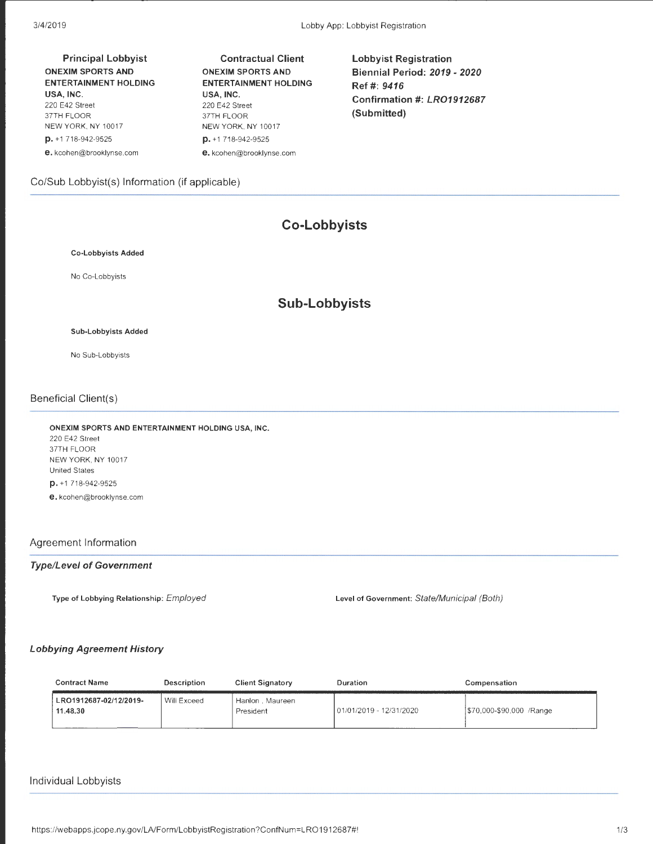Principal Lobbyist ONEXIM SPORTS AND ENTERTAINMENT HOLDING USA, INC. 220 E42 Street 37TH FLOOR NEW YORK, NY 10017 p. +1 718-942-9525 e. kcohen@brooklynse.com

Contractual Client ONEXIM SPORTS AND ENTERTAINMENT HOLDING USA, INC. 220 E42 Street 37TH FLOOR NEW YORK, NY 10017 p. +1 718-942-9525 e. kcohen@brooklynse.com

Lobbyist Registration Biennial Period: 2019- 2020 Ref#: 9416 Confirmation#: LR01912687 (Submitted)

## Co/Sub Lobbyist(s) Information (if applicable)

# **Co-Lobbyists**

#### Co-Lobbyists Added

No Co-Lobbyists

## **Sub-Lobbyists**

#### Sub-Lobbyists Added

No Sub-Lobbyists

#### Beneficial Client(s)

ONEXIM SPORTS AND ENTERTAINMENT HOLDING USA, INC. 220 E42 Street 37TH FLOOR NEW YORK, NY 10017 United States p. +1 718-942-9525 e. kcohen@brooklynse.com

#### Agreement Information

#### Type/Level of Government

Type of Lobbying Relationship: Employed Level of Government: State/Municipal (Both)

#### Lobbying Agreement History

| <b>Contract Name</b>               | Description<br><b>Client Signatory</b> |                              | Duration                 | Compensation              |  |
|------------------------------------|----------------------------------------|------------------------------|--------------------------|---------------------------|--|
| LRO1912687-02/12/2019-<br>11.48.30 | Will Exceed                            | Hanlon, Maureen<br>President | 101/01/2019 - 12/31/2020 | 1\$70,000-\$90,000 /Range |  |

#### Individual Lobbyists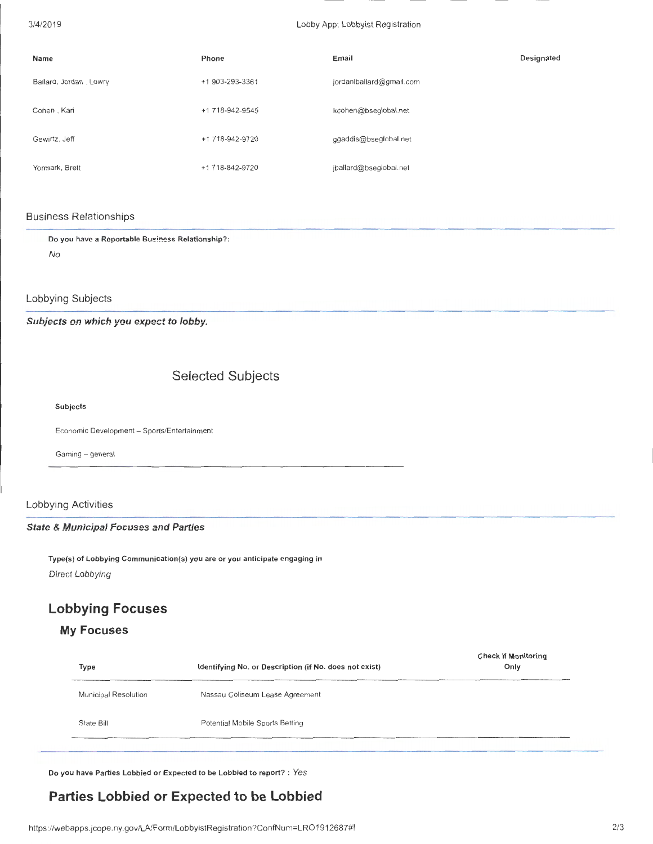| Name                   | Phone           | Email                    | Designated |
|------------------------|-----------------|--------------------------|------------|
| Ballard, Jordan, Lowry | +1 903-293-3361 | jordanlballard@gmail.com |            |
| Cohen, Kari            | +1 718-942-9545 | kcohen@bseglobal.net     |            |
| Gewirtz, Jeff          | +1 718-942-9720 | ggaddis@bseglobal.net    |            |
| Yormark, Brett         | +1 718-842-9720 | jballard@bseglobal.net   |            |

#### Business Relationships

Do you have a Reportable Business Relationship? : No

Lobbying Subjects

Subjects on which you expect to lobby.

# Selected Subjects

Subjects

Economic Development- Sports/Entertainment

Gaming - general

## Lobbying Activities

#### State & Municipal Focuses and Parties

Type(s) of Lobbying Communication(s) you are or you anticipate engaging in Direct Lobbying

# **Lobbying Focuses**

## **My Focuses**

| Identifying No. or Description (if No. does not exist) | <b>Check if Monitoring</b><br>Only |  |  |
|--------------------------------------------------------|------------------------------------|--|--|
| Nassau Coliseum Lease Agreement                        |                                    |  |  |
| Potential Mobile Sports Betting                        |                                    |  |  |
|                                                        |                                    |  |  |

Do you have Parties Lobbied or Expected to be Lobbied to report? : *Yes* 

# **Parties Lobbied or Expected to be Lobbied**